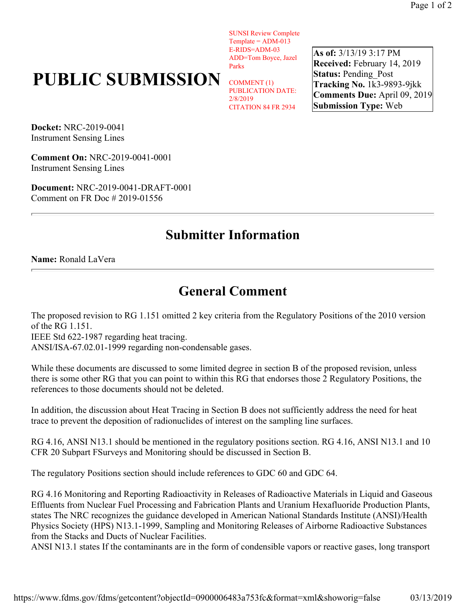SUNSI Review Complete  $Template = ADM-013$ E-RIDS=ADM-03 ADD=Tom Boyce, Jazel Parks

## **PUBLIC SUBMISSION**

COMMENT (1) PUBLICATION DATE: 2/8/2019 CITATION 84 FR 2934 **As of:** 3/13/19 3:17 PM **Received:** February 14, 2019 **Status:** Pending\_Post **Tracking No.** 1k3-9893-9jkk **Comments Due:** April 09, 2019 **Submission Type:** Web

**Docket:** NRC-2019-0041 Instrument Sensing Lines

**Comment On:** NRC-2019-0041-0001 Instrument Sensing Lines

**Document:** NRC-2019-0041-DRAFT-0001 Comment on FR Doc # 2019-01556

## **Submitter Information**

## **Name:** Ronald LaVera

## **General Comment**

The proposed revision to RG 1.151 omitted 2 key criteria from the Regulatory Positions of the 2010 version of the RG 1.151.

IEEE Std 622-1987 regarding heat tracing.

ANSI/ISA-67.02.01-1999 regarding non-condensable gases.

While these documents are discussed to some limited degree in section B of the proposed revision, unless there is some other RG that you can point to within this RG that endorses those 2 Regulatory Positions, the references to those documents should not be deleted.

In addition, the discussion about Heat Tracing in Section B does not sufficiently address the need for heat trace to prevent the deposition of radionuclides of interest on the sampling line surfaces.

RG 4.16, ANSI N13.1 should be mentioned in the regulatory positions section. RG 4.16, ANSI N13.1 and 10 CFR 20 Subpart FSurveys and Monitoring should be discussed in Section B.

The regulatory Positions section should include references to GDC 60 and GDC 64.

RG 4.16 Monitoring and Reporting Radioactivity in Releases of Radioactive Materials in Liquid and Gaseous Effluents from Nuclear Fuel Processing and Fabrication Plants and Uranium Hexafluoride Production Plants, states The NRC recognizes the guidance developed in American National Standards Institute (ANSI)/Health Physics Society (HPS) N13.1-1999, Sampling and Monitoring Releases of Airborne Radioactive Substances from the Stacks and Ducts of Nuclear Facilities.

ANSI N13.1 states If the contaminants are in the form of condensible vapors or reactive gases, long transport